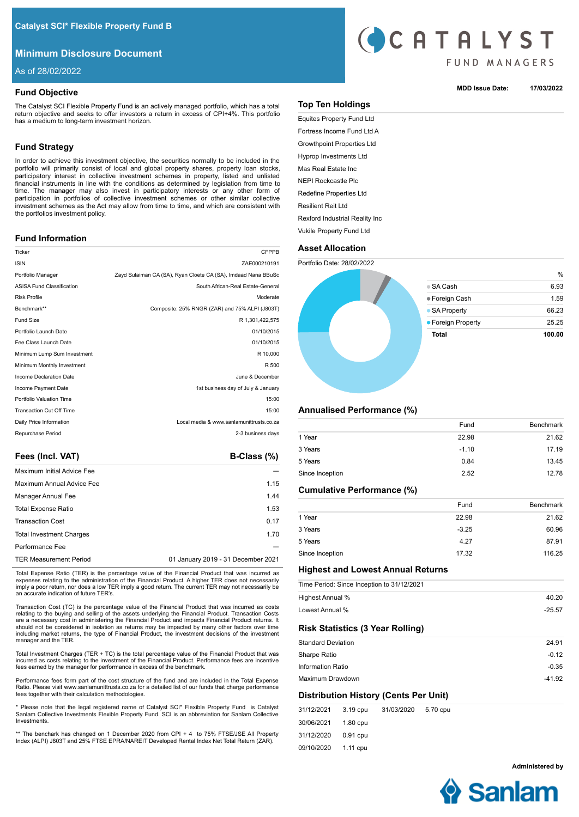# **Minimum Disclosure Document**

As of 28/02/2022

# **Fund Objective**

The Catalyst SCI Flexible Property Fund is an actively managed portfolio, which has a total return objective and seeks to offer investors a return in excess of CPI+4%. This portfolio has a medium to long-term investment horizon.

# **Fund Strategy**

In order to achieve this investment objective, the securities normally to be included in the portfolio will primarily consist of local and global property shares, property loan stocks, participatory interest in collective investment schemes in property, listed and unlisted financial instruments in line with the conditions as determined by legislation from time to time. The manager may also invest in participatory interests or any other form of participation in portfolios of collective investment schemes or other similar collective investment schemes as the Act may allow from time to time, and which are consistent with the portfolios investment policy.

# **Fund Information**

| Ticker                           | <b>CFPPB</b>                                                  |
|----------------------------------|---------------------------------------------------------------|
| <b>ISIN</b>                      | ZAE000210191                                                  |
| Portfolio Manager                | Zayd Sulaiman CA (SA), Ryan Cloete CA (SA), Imdaad Nana BBuSc |
| <b>ASISA Fund Classification</b> | South African-Real Estate-General                             |
| <b>Risk Profile</b>              | Moderate                                                      |
| Benchmark**                      | Composite: 25% RNGR (ZAR) and 75% ALPI (J803T)                |
| <b>Fund Size</b>                 | R 1.301.422.575                                               |
| Portfolio Launch Date            | 01/10/2015                                                    |
| Fee Class Launch Date            | 01/10/2015                                                    |
| Minimum Lump Sum Investment      | R 10,000                                                      |
| Minimum Monthly Investment       | R 500                                                         |
| Income Declaration Date          | June & December                                               |
| Income Payment Date              | 1st business day of July & January                            |
| Portfolio Valuation Time         | 15:00                                                         |
| <b>Transaction Cut Off Time</b>  | 15:00                                                         |
| Daily Price Information          | Local media & www.sanlamunittrusts.co.za                      |
| Repurchase Period                | 2-3 business days                                             |
|                                  |                                                               |

Fees (Incl. VAT) **B-Class (%)** 

| <b>Maximum Initial Advice Fee</b> |                                    |
|-----------------------------------|------------------------------------|
| Maximum Annual Advice Fee         | 1.15                               |
| Manager Annual Fee                | 1.44                               |
| <b>Total Expense Ratio</b>        | 1.53                               |
| <b>Transaction Cost</b>           | 0.17                               |
| <b>Total Investment Charges</b>   | 1.70                               |
| Performance Fee                   |                                    |
| <b>TER Measurement Period</b>     | 01 January 2019 - 31 December 2021 |

Total Expense Ratio (TER) is the percentage value of the Financial Product that was incurred as expenses relating to the administration of the Financial Product. A higher TER does not necessarily imply a poor return, nor does a low TER imply a good return. The current TER may not necessarily be an accurate indication of future TER's.

Transaction Cost (TC) is the percentage value of the Financial Product that was incurred as costs relating to the buying and selling of the assets underlying the Financial Product. Transaction Costs are a necessary cost in administering the Financial Product and impacts Financial Product returns. It should not be considered in isolation as returns may be impacted by many other factors over time including market returns, the type of Financial Product, the investment decisions of the investment manager and the TER.

Total Investment Charges (TER + TC) is the total percentage value of the Financial Product that was incurred as costs relating to the investment of the Financial Product. Performance fees are incentive fees earned by the manager for performance in excess of the benchmark.

Performance fees form part of the cost structure of the fund and are included in the Total Expense Ratio. Please visit www.sanlamunittrusts.co.za for a detailed list of our funds that charge performance fees together with their calculation methodologies.

\* Please note that the legal registered name of Catalyst SCI\* Flexible Property Fund is Catalyst Sanlam Collective Investments Flexible Property Fund. SCI is an abbreviation for Sanlam Collective Investments.

\*\* The benchark has changed on 1 December 2020 from CPI + 4 to 75% FTSE/JSE All Property Index (ALPI) J803T and 25% FTSE EPRA/NAREIT Developed Rental Index Net Total Return (ZAR).



### **MDD Issue Date: 17/03/2022**

|  |  | . | ш |
|--|--|---|---|
|  |  |   |   |
|  |  |   |   |
|  |  |   |   |
|  |  |   |   |

Equites Property Fund Ltd Fortress Income Fund Ltd A Growthpoint Properties Ltd Hyprop Investments Ltd Mas Real Estate Inc

**Top Ten Holdings** 

NEPI Rockcastle Plc

Redefine Properties Ltd

Resilient Reit Ltd

Rexford Industrial Reality Inc

# Vukile Property Fund Ltd





# **Annualised Performance (%)**

| Fund    | <b>Benchmark</b> |
|---------|------------------|
| 22.98   | 21.62            |
| $-1.10$ | 17.19            |
| 0.84    | 13.45            |
| 2.52    | 12.78            |
|         |                  |

# **Cumulative Performance (%)**

|                 | Fund    | <b>Benchmark</b> |
|-----------------|---------|------------------|
| 1 Year          | 22.98   | 21.62            |
| 3 Years         | $-3.25$ | 60.96            |
| 5 Years         | 4.27    | 87.91            |
| Since Inception | 17.32   | 116.25           |

# **Highest and Lowest Annual Returns**

|                           |          | Time Period: Since Inception to 31/12/2021 |          |          |
|---------------------------|----------|--------------------------------------------|----------|----------|
| Highest Annual %          |          |                                            |          | 40.20    |
| Lowest Annual %           |          |                                            |          | $-25.57$ |
|                           |          | <b>Risk Statistics (3 Year Rolling)</b>    |          |          |
| <b>Standard Deviation</b> |          |                                            |          | 24.91    |
| Sharpe Ratio              |          |                                            |          | $-0.12$  |
| <b>Information Ratio</b>  |          |                                            |          | $-0.35$  |
| Maximum Drawdown          |          |                                            |          | $-41.92$ |
|                           |          | Distribution History (Cents Per Unit)      |          |          |
| 31/12/2021                | 3.19 cpu | 31/03/2020                                 | 5.70 cpu |          |

| 31/12/2021 3.19 cpu |          | 31/03/2020 5.70 cpu |  |
|---------------------|----------|---------------------|--|
| 30/06/2021 1.80 cpu |          |                     |  |
| 31/12/2020          | 0.91 cpu |                     |  |
| 09/10/2020 1.11 cpu |          |                     |  |

**Administered by**